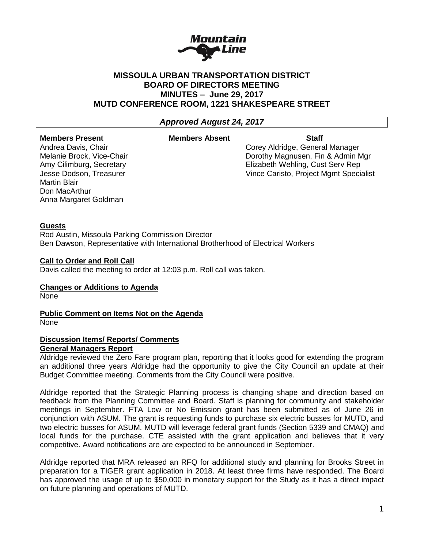

# **MISSOULA URBAN TRANSPORTATION DISTRICT BOARD OF DIRECTORS MEETING MINUTES – June 29, 2017 MUTD CONFERENCE ROOM, 1221 SHAKESPEARE STREET**

# *Approved August 24, 2017*

# **Members Present Members Absent Staff**

Martin Blair Don MacArthur Anna Margaret Goldman

Andrea Davis, Chair Corey Aldridge, General Manager Melanie Brock, Vice-Chair **Dorothy Magnusen, Fin & Admin Mgr** Dorothy Magnusen, Fin & Admin Mgr Amy Cilimburg, Secretary **Elizabeth Wehling, Cust Serv Rep** Jesse Dodson, Treasurer Vince Caristo, Project Mgmt Specialist

# **Guests**

Rod Austin, Missoula Parking Commission Director Ben Dawson, Representative with International Brotherhood of Electrical Workers

# **Call to Order and Roll Call**

Davis called the meeting to order at 12:03 p.m. Roll call was taken.

#### **Changes or Additions to Agenda**

None

**Public Comment on Items Not on the Agenda** None

# **Discussion Items/ Reports/ Comments**

# **General Managers Report**

Aldridge reviewed the Zero Fare program plan, reporting that it looks good for extending the program an additional three years Aldridge had the opportunity to give the City Council an update at their Budget Committee meeting. Comments from the City Council were positive.

Aldridge reported that the Strategic Planning process is changing shape and direction based on feedback from the Planning Committee and Board. Staff is planning for community and stakeholder meetings in September. FTA Low or No Emission grant has been submitted as of June 26 in conjunction with ASUM. The grant is requesting funds to purchase six electric busses for MUTD, and two electric busses for ASUM. MUTD will leverage federal grant funds (Section 5339 and CMAQ) and local funds for the purchase. CTE assisted with the grant application and believes that it very competitive. Award notifications are are expected to be announced in September.

Aldridge reported that MRA released an RFQ for additional study and planning for Brooks Street in preparation for a TIGER grant application in 2018. At least three firms have responded. The Board has approved the usage of up to \$50,000 in monetary support for the Study as it has a direct impact on future planning and operations of MUTD.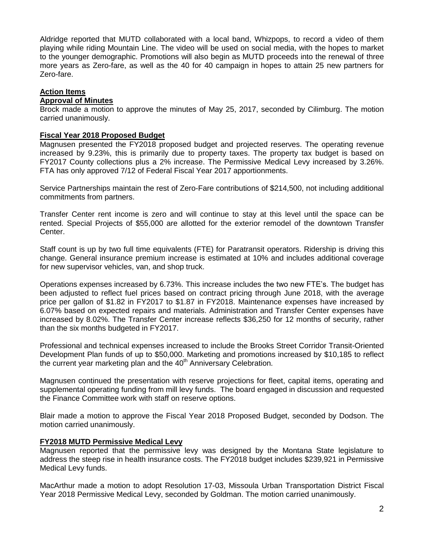Aldridge reported that MUTD collaborated with a local band, Whizpops, to record a video of them playing while riding Mountain Line. The video will be used on social media, with the hopes to market to the younger demographic. Promotions will also begin as MUTD proceeds into the renewal of three more years as Zero-fare, as well as the 40 for 40 campaign in hopes to attain 25 new partners for Zero-fare.

# **Action Items**

# **Approval of Minutes**

Brock made a motion to approve the minutes of May 25, 2017, seconded by Cilimburg. The motion carried unanimously.

#### **Fiscal Year 2018 Proposed Budget**

Magnusen presented the FY2018 proposed budget and projected reserves. The operating revenue increased by 9.23%, this is primarily due to property taxes. The property tax budget is based on FY2017 County collections plus a 2% increase. The Permissive Medical Levy increased by 3.26%. FTA has only approved 7/12 of Federal Fiscal Year 2017 apportionments.

Service Partnerships maintain the rest of Zero-Fare contributions of \$214,500, not including additional commitments from partners.

Transfer Center rent income is zero and will continue to stay at this level until the space can be rented. Special Projects of \$55,000 are allotted for the exterior remodel of the downtown Transfer Center.

Staff count is up by two full time equivalents (FTE) for Paratransit operators. Ridership is driving this change. General insurance premium increase is estimated at 10% and includes additional coverage for new supervisor vehicles, van, and shop truck.

Operations expenses increased by 6.73%. This increase includes the two new FTE's. The budget has been adjusted to reflect fuel prices based on contract pricing through June 2018, with the average price per gallon of \$1.82 in FY2017 to \$1.87 in FY2018. Maintenance expenses have increased by 6.07% based on expected repairs and materials. Administration and Transfer Center expenses have increased by 8.02%. The Transfer Center increase reflects \$36,250 for 12 months of security, rather than the six months budgeted in FY2017.

Professional and technical expenses increased to include the Brooks Street Corridor Transit-Oriented Development Plan funds of up to \$50,000. Marketing and promotions increased by \$10,185 to reflect the current year marketing plan and the  $40<sup>th</sup>$  Anniversary Celebration.

Magnusen continued the presentation with reserve projections for fleet, capital items, operating and supplemental operating funding from mill levy funds. The board engaged in discussion and requested the Finance Committee work with staff on reserve options.

Blair made a motion to approve the Fiscal Year 2018 Proposed Budget, seconded by Dodson. The motion carried unanimously.

# **FY2018 MUTD Permissive Medical Levy**

Magnusen reported that the permissive levy was designed by the Montana State legislature to address the steep rise in health insurance costs. The FY2018 budget includes \$239,921 in Permissive Medical Levy funds.

MacArthur made a motion to adopt Resolution 17-03, Missoula Urban Transportation District Fiscal Year 2018 Permissive Medical Levy, seconded by Goldman. The motion carried unanimously.